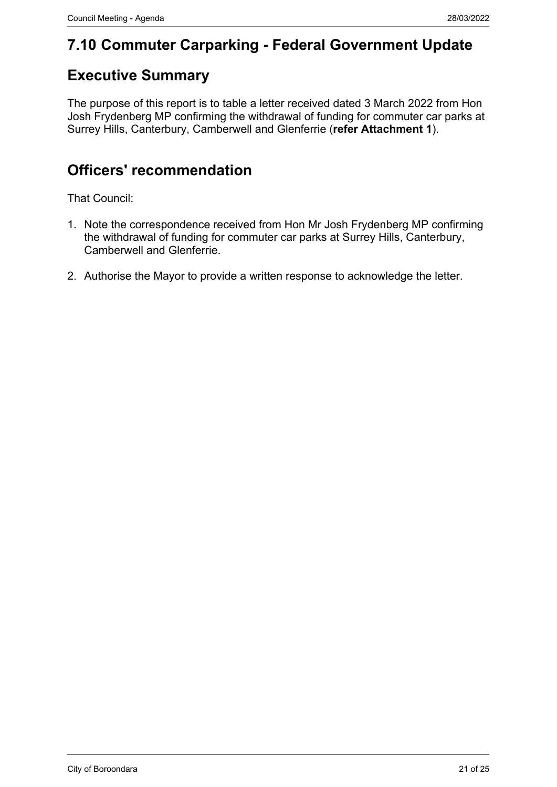## **7.10 Commuter Carparking - Federal Government Update**

## **Executive Summary**

The purpose of this report is to table a letter received dated 3 March 2022 from Hon Josh Frydenberg MP confirming the withdrawal of funding for commuter car parks at Surrey Hills, Canterbury, Camberwell and Glenferrie (**refer Attachment 1**).

## **Officers' recommendation**

That Council:

- 1. Note the correspondence received from Hon Mr Josh Frydenberg MP confirming the withdrawal of funding for commuter car parks at Surrey Hills, Canterbury, Camberwell and Glenferrie.
- 2. Authorise the Mayor to provide a written response to acknowledge the letter.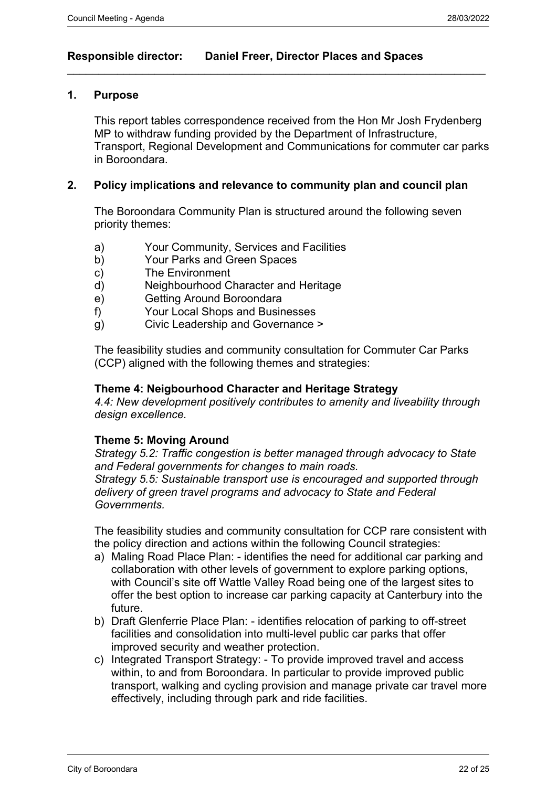#### **Responsible director: Daniel Freer, Director Places and Spaces**

#### **1. Purpose**

This report tables correspondence received from the Hon Mr Josh Frydenberg MP to withdraw funding provided by the Department of Infrastructure, Transport, Regional Development and Communications for commuter car parks in Boroondara.

 $\_$  , and the set of the set of the set of the set of the set of the set of the set of the set of the set of the set of the set of the set of the set of the set of the set of the set of the set of the set of the set of th

#### **2. Policy implications and relevance to community plan and council plan**

The Boroondara Community Plan is structured around the following seven priority themes:

- a) Your Community, Services and Facilities
- b) Your Parks and Green Spaces
- c) The Environment
- d) Neighbourhood Character and Heritage
- e) Getting Around Boroondara
- f) Your Local Shops and Businesses
- g) Civic Leadership and Governance >

The feasibility studies and community consultation for Commuter Car Parks (CCP) aligned with the following themes and strategies:

#### **Theme 4: Neigbourhood Character and Heritage Strategy**

*4.4: New development positively contributes to amenity and liveability through design excellence.* 

#### **Theme 5: Moving Around**

*Strategy 5.2: Traffic congestion is better managed through advocacy to State and Federal governments for changes to main roads. Strategy 5.5: Sustainable transport use is encouraged and supported through delivery of green travel programs and advocacy to State and Federal* 

*Governments.*

The feasibility studies and community consultation for CCP rare consistent with the policy direction and actions within the following Council strategies:

- a) Maling Road Place Plan: identifies the need for additional car parking and collaboration with other levels of government to explore parking options, with Council's site off Wattle Valley Road being one of the largest sites to offer the best option to increase car parking capacity at Canterbury into the future.
- b) Draft Glenferrie Place Plan: identifies relocation of parking to off-street facilities and consolidation into multi-level public car parks that offer improved security and weather protection.
- c) Integrated Transport Strategy: To provide improved travel and access within, to and from Boroondara. In particular to provide improved public transport, walking and cycling provision and manage private car travel more effectively, including through park and ride facilities.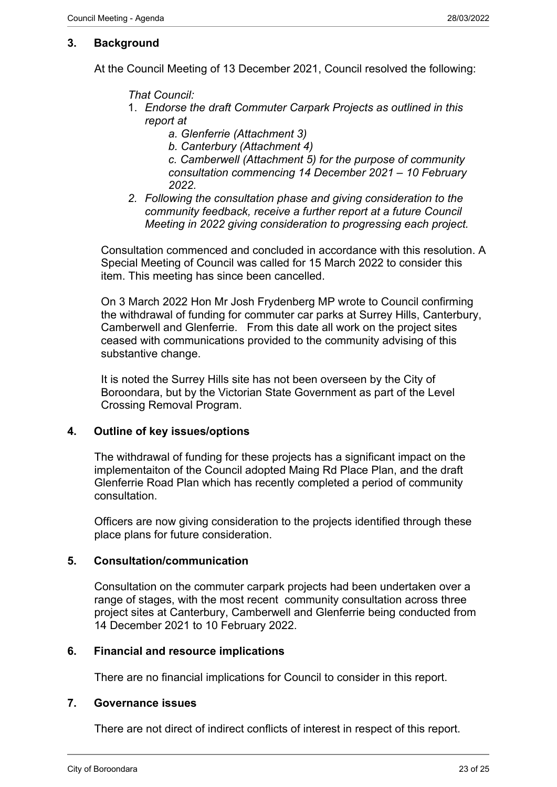#### **3. Background**

At the Council Meeting of 13 December 2021, Council resolved the following:

*That Council:* 

- 1. *Endorse the draft Commuter Carpark Projects as outlined in this report at* 
	- *a. Glenferrie (Attachment 3)*
	- *b. Canterbury (Attachment 4)*

*c. Camberwell (Attachment 5) for the purpose of community consultation commencing 14 December 2021 – 10 February 2022.* 

*2. Following the consultation phase and giving consideration to the community feedback, receive a further report at a future Council Meeting in 2022 giving consideration to progressing each project.* 

Consultation commenced and concluded in accordance with this resolution. A Special Meeting of Council was called for 15 March 2022 to consider this item. This meeting has since been cancelled.

On 3 March 2022 Hon Mr Josh Frydenberg MP wrote to Council confirming the withdrawal of funding for commuter car parks at Surrey Hills, Canterbury, Camberwell and Glenferrie. From this date all work on the project sites ceased with communications provided to the community advising of this substantive change.

It is noted the Surrey Hills site has not been overseen by the City of Boroondara, but by the Victorian State Government as part of the Level Crossing Removal Program.

#### **4. Outline of key issues/options**

The withdrawal of funding for these projects has a significant impact on the implementaiton of the Council adopted Maing Rd Place Plan, and the draft Glenferrie Road Plan which has recently completed a period of community consultation.

Officers are now giving consideration to the projects identified through these place plans for future consideration.

#### **5. Consultation/communication**

Consultation on the commuter carpark projects had been undertaken over a range of stages, with the most recent community consultation across three project sites at Canterbury, Camberwell and Glenferrie being conducted from 14 December 2021 to 10 February 2022.

#### **6. Financial and resource implications**

There are no financial implications for Council to consider in this report.

#### **7. Governance issues**

There are not direct of indirect conflicts of interest in respect of this report.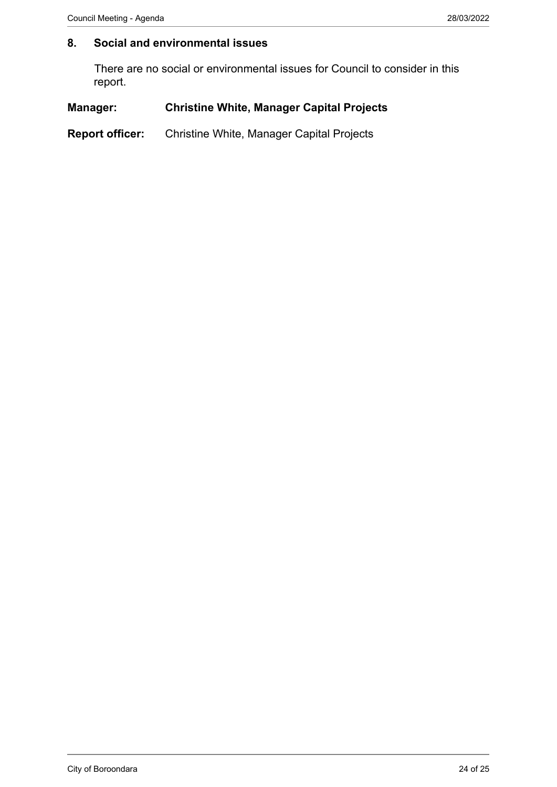### **8. Social and environmental issues**

There are no social or environmental issues for Council to consider in this report.

#### **Manager: Christine White, Manager Capital Projects**

**Report officer:** Christine White, Manager Capital Projects